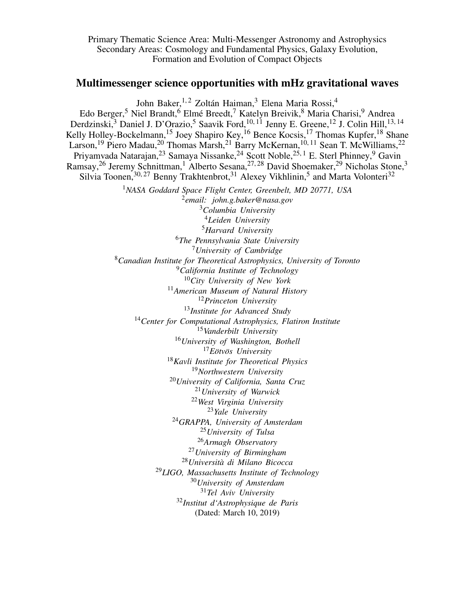Primary Thematic Science Area: Multi-Messenger Astronomy and Astrophysics Secondary Areas: Cosmology and Fundamental Physics, Galaxy Evolution, Formation and Evolution of Compact Objects

# Multimessenger science opportunities with mHz gravitational waves

John Baker,<sup>1,2</sup> Zoltán Haiman,<sup>3</sup> Elena Maria Rossi,<sup>4</sup>

Edo Berger,<sup>5</sup> Niel Brandt,<sup>6</sup> Elmé Breedt,<sup>7</sup> Katelyn Breivik,<sup>8</sup> Maria Charisi,<sup>9</sup> Andrea Derdzinski,<sup>3</sup> Daniel J. D'Orazio,<sup>5</sup> Saavik Ford,<sup>10, 11</sup> Jenny E. Greene,<sup>12</sup> J. Colin Hill,<sup>13, 14</sup> Kelly Holley-Bockelmann,<sup>15</sup> Joey Shapiro Key,<sup>16</sup> Bence Kocsis,<sup>17</sup> Thomas Kupfer,<sup>18</sup> Shane Larson,<sup>19</sup> Piero Madau,<sup>20</sup> Thomas Marsh,<sup>21</sup> Barry McKernan,<sup>10,11</sup> Sean T. McWilliams,<sup>22</sup> Priyamvada Natarajan,<sup>23</sup> Samaya Nissanke,<sup>24</sup> Scott Noble,<sup>25, 1</sup> E. Sterl Phinney,<sup>9</sup> Gavin Ramsay,<sup>26</sup> Jeremy Schnittman,<sup>1</sup> Alberto Sesana,<sup>27,28</sup> David Shoemaker,<sup>29</sup> Nicholas Stone,<sup>3</sup> Silvia Toonen,  $30, 27$  Benny Trakhtenbrot,  $31$  Alexey Vikhlinin,  $5$  and Marta Volonteri $32$ *NASA Goddard Space Flight Center, Greenbelt, MD 20771, USA email: john.g.baker@nasa.gov Columbia University Leiden University Harvard University The Pennsylvania State University University of Cambridge Canadian Institute for Theoretical Astrophysics, University of Toronto California Institute of Technology City University of New York American Museum of Natural History Princeton University Institute for Advanced Study Center for Computational Astrophysics, Flatiron Institute Vanderbilt University University of Washington, Bothell Eötvös University Kavli Institute for Theoretical Physics Northwestern University University of California, Santa Cruz University of Warwick West Virginia University Yale University GRAPPA, University of Amsterdam University of Tulsa Armagh Observatory University of Birmingham Universita di Milano Bicocca ` LIGO, Massachusetts Institute of Technology University of Amsterdam Tel Aviv University Institut d'Astrophysique de Paris* (Dated: March 10, 2019)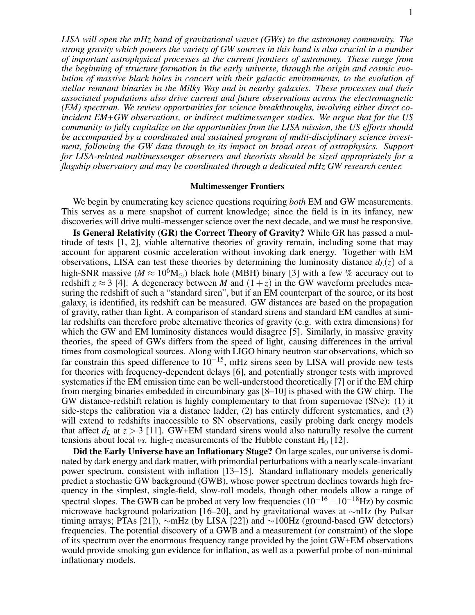*LISA will open the mHz band of gravitational waves (GWs) to the astronomy community. The strong gravity which powers the variety of GW sources in this band is also crucial in a number of important astrophysical processes at the current frontiers of astronomy. These range from the beginning of structure formation in the early universe, through the origin and cosmic evolution of massive black holes in concert with their galactic environments, to the evolution of stellar remnant binaries in the Milky Way and in nearby galaxies. These processes and their associated populations also drive current and future observations across the electromagnetic (EM) spectrum. We review opportunities for science breakthroughs, involving either direct coincident EM+GW observations, or indirect multimessenger studies. We argue that for the US community to fully capitalize on the opportunities from the LISA mission, the US efforts should be accompanied by a coordinated and sustained program of multi-disciplinary science investment, following the GW data through to its impact on broad areas of astrophysics. Support for LISA-related multimessenger observers and theorists should be sized appropriately for a flagship observatory and may be coordinated through a dedicated mHz GW research center.*

#### Multimessenger Frontiers

We begin by enumerating key science questions requiring *both* EM and GW measurements. This serves as a mere snapshot of current knowledge; since the field is in its infancy, new discoveries will drive multi-messenger science over the next decade, and we must be responsive.

Is General Relativity (GR) the Correct Theory of Gravity? While GR has passed a multitude of tests [1, 2], viable alternative theories of gravity remain, including some that may account for apparent cosmic acceleration without invoking dark energy. Together with EM observations, LISA can test these theories by determining the luminosity distance  $d_L(z)$  of a high-SNR massive ( $M \approx 10^6$ M<sub>o</sub>) black hole (MBH) binary [3] with a few % accuracy out to redshift  $z \approx 3$  [4]. A degeneracy between *M* and  $(1+z)$  in the GW waveform precludes measuring the redshift of such a "standard siren", but if an EM counterpart of the source, or its host galaxy, is identified, its redshift can be measured. GW distances are based on the propagation of gravity, rather than light. A comparison of standard sirens and standard EM candles at similar redshifts can therefore probe alternative theories of gravity (e.g. with extra dimensions) for which the GW and EM luminosity distances would disagree [5]. Similarly, in massive gravity theories, the speed of GWs differs from the speed of light, causing differences in the arrival times from cosmological sources. Along with LIGO binary neutron star observations, which so far constrain this speed difference to  $10^{-15}$ , mHz sirens seen by LISA will provide new tests for theories with frequency-dependent delays [6], and potentially stronger tests with improved systematics if the EM emission time can be well-understood theoretically [7] or if the EM chirp from merging binaries embedded in circumbinary gas [8–10] is phased with the GW chirp. The GW distance-redshift relation is highly complementary to that from supernovae (SNe): (1) it side-steps the calibration via a distance ladder, (2) has entirely different systematics, and (3) will extend to redshifts inaccessible to SN observations, easily probing dark energy models that affect  $d<sub>L</sub>$  at  $z > 3$  [11]. GW+EM standard sirens would also naturally resolve the current tensions about local *vs.* high-*z* measurements of the Hubble constant  $H_0$  [12].

Did the Early Universe have an Inflationary Stage? On large scales, our universe is dominated by dark energy and dark matter, with primordial perturbations with a nearly scale-invariant power spectrum, consistent with inflation [13–15]. Standard inflationary models generically predict a stochastic GW background (GWB), whose power spectrum declines towards high frequency in the simplest, single-field, slow-roll models, though other models allow a range of spectral slopes. The GWB can be probed at very low frequencies  $(10^{-16} - 10^{-18}$ Hz) by cosmic microwave background polarization [16–20], and by gravitational waves at ∼nHz (by Pulsar timing arrays; PTAs [21]), ∼mHz (by LISA [22]) and ∼100Hz (ground-based GW detectors) frequencies. The potential discovery of a GWB and a measurement (or constraint) of the slope of its spectrum over the enormous frequency range provided by the joint GW+EM observations would provide smoking gun evidence for inflation, as well as a powerful probe of non-minimal inflationary models.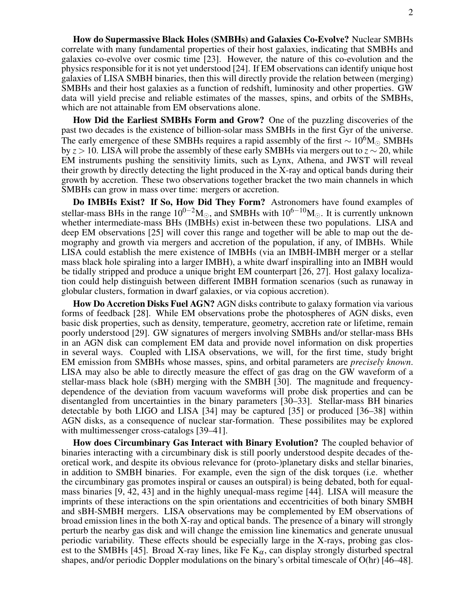How do Supermassive Black Holes (SMBHs) and Galaxies Co-Evolve? Nuclear SMBHs correlate with many fundamental properties of their host galaxies, indicating that SMBHs and galaxies co-evolve over cosmic time [23]. However, the nature of this co-evolution and the physics responsible for it is not yet understood [24]. If EM observations can identify unique host galaxies of LISA SMBH binaries, then this will directly provide the relation between (merging) SMBHs and their host galaxies as a function of redshift, luminosity and other properties. GW data will yield precise and reliable estimates of the masses, spins, and orbits of the SMBHs, which are not attainable from EM observations alone.

How Did the Earliest SMBHs Form and Grow? One of the puzzling discoveries of the past two decades is the existence of billion-solar mass SMBHs in the first Gyr of the universe. The early emergence of these SMBHs requires a rapid assembly of the first  $\sim 10^6 M_{\odot}$  SMBHs by *z* > 10. LISA will probe the assembly of these early SMBHs via mergers out to *z* ∼ 20, while EM instruments pushing the sensitivity limits, such as Lynx, Athena, and JWST will reveal their growth by directly detecting the light produced in the X-ray and optical bands during their growth by accretion. These two observations together bracket the two main channels in which SMBHs can grow in mass over time: mergers or accretion.

Do IMBHs Exist? If So, How Did They Form? Astronomers have found examples of stellar-mass BHs in the range  $10^{0-2}M_{\odot}$ , and SMBHs with  $10^{6-10}M_{\odot}$ . It is currently unknown whether intermediate-mass BHs (IMBHs) exist in-between these two populations. LISA and deep EM observations [25] will cover this range and together will be able to map out the demography and growth via mergers and accretion of the population, if any, of IMBHs. While LISA could establish the mere existence of IMBHs (via an IMBH-IMBH merger or a stellar mass black hole spiraling into a larger IMBH), a white dwarf inspiralling into an IMBH would be tidally stripped and produce a unique bright EM counterpart [26, 27]. Host galaxy localization could help distinguish between different IMBH formation scenarios (such as runaway in globular clusters, formation in dwarf galaxies, or via copious accretion).

How Do Accretion Disks Fuel AGN? AGN disks contribute to galaxy formation via various forms of feedback [28]. While EM observations probe the photospheres of AGN disks, even basic disk properties, such as density, temperature, geometry, accretion rate or lifetime, remain poorly understood [29]. GW signatures of mergers involving SMBHs and/or stellar-mass BHs in an AGN disk can complement EM data and provide novel information on disk properties in several ways. Coupled with LISA observations, we will, for the first time, study bright EM emission from SMBHs whose masses, spins, and orbital parameters are *precisely known*. LISA may also be able to directly measure the effect of gas drag on the GW waveform of a stellar-mass black hole (sBH) merging with the SMBH [30]. The magnitude and frequencydependence of the deviation from vacuum waveforms will probe disk properties and can be disentangled from uncertainties in the binary parameters [30–33]. Stellar-mass BH binaries detectable by both LIGO and LISA [34] may be captured [35] or produced [36–38] within AGN disks, as a consequence of nuclear star-formation. These possibilites may be explored with multimessenger cross-catalogs [39–41].

How does Circumbinary Gas Interact with Binary Evolution? The coupled behavior of binaries interacting with a circumbinary disk is still poorly understood despite decades of theoretical work, and despite its obvious relevance for (proto-)planetary disks and stellar binaries, in addition to SMBH binaries. For example, even the sign of the disk torques (i.e. whether the circumbinary gas promotes inspiral or causes an outspiral) is being debated, both for equalmass binaries [9, 42, 43] and in the highly unequal-mass regime [44]. LISA will measure the imprints of these interactions on the spin orientations and eccentricities of both binary SMBH and sBH-SMBH mergers. LISA observations may be complemented by EM observations of broad emission lines in the both X-ray and optical bands. The presence of a binary will strongly perturb the nearby gas disk and will change the emission line kinematics and generate unusual periodic variability. These effects should be especially large in the X-rays, probing gas closest to the SMBHs [45]. Broad X-ray lines, like Fe  $K_{\alpha}$ , can display strongly disturbed spectral shapes, and/or periodic Doppler modulations on the binary's orbital timescale of O(hr) [46–48].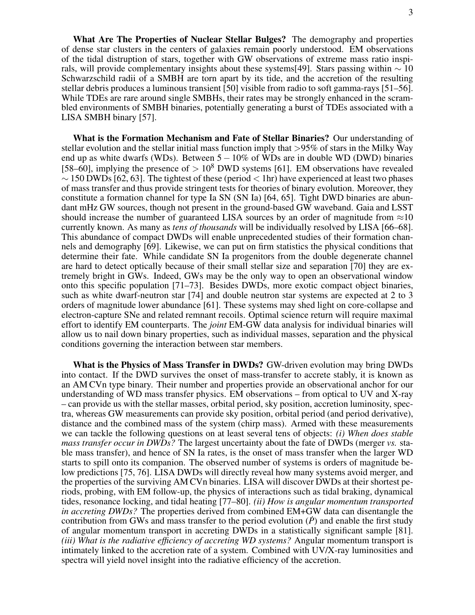What Are The Properties of Nuclear Stellar Bulges? The demography and properties of dense star clusters in the centers of galaxies remain poorly understood. EM observations of the tidal distruption of stars, together with GW observations of extreme mass ratio inspirals, will provide complementary insights about these systems[49]. Stars passing within  $\sim 10$ Schwarzschild radii of a SMBH are torn apart by its tide, and the accretion of the resulting stellar debris produces a luminous transient [50] visible from radio to soft gamma-rays [51–56]. While TDEs are rare around single SMBHs, their rates may be strongly enhanced in the scrambled environments of SMBH binaries, potentially generating a burst of TDEs associated with a LISA SMBH binary [57].

What is the Formation Mechanism and Fate of Stellar Binaries? Our understanding of stellar evolution and the stellar initial mass function imply that >95% of stars in the Milky Way end up as white dwarfs (WDs). Between  $5-10\%$  of WDs are in double WD (DWD) binaries [58–60], implying the presence of  $> 10^8$  DWD systems [61]. EM observations have revealed  $\sim$  150 DWDs [62, 63]. The tightest of these (period < 1hr) have experienced at least two phases of mass transfer and thus provide stringent tests for theories of binary evolution. Moreover, they constitute a formation channel for type Ia SN (SN Ia) [64, 65]. Tight DWD binaries are abundant mHz GW sources, though not present in the ground-based GW waveband. Gaia and LSST should increase the number of guaranteed LISA sources by an order of magnitude from  $\approx 10$ currently known. As many as *tens of thousands* will be individually resolved by LISA [66–68]. This abundance of compact DWDs will enable unprecedented studies of their formation channels and demography [69]. Likewise, we can put on firm statistics the physical conditions that determine their fate. While candidate SN Ia progenitors from the double degenerate channel are hard to detect optically because of their small stellar size and separation [70] they are extremely bright in GWs. Indeed, GWs may be the only way to open an observational window onto this specific population [71–73]. Besides DWDs, more exotic compact object binaries, such as white dwarf-neutron star [74] and double neutron star systems are expected at 2 to 3 orders of magnitude lower abundance [61]. These systems may shed light on core-collapse and electron-capture SNe and related remnant recoils. Optimal science return will require maximal effort to identify EM counterparts. The *joint* EM-GW data analysis for individual binaries will allow us to nail down binary properties, such as individual masses, separation and the physical conditions governing the interaction between star members.

What is the Physics of Mass Transfer in DWDs? GW-driven evolution may bring DWDs into contact. If the DWD survives the onset of mass-transfer to accrete stably, it is known as an AM CVn type binary. Their number and properties provide an observational anchor for our understanding of WD mass transfer physics. EM observations – from optical to UV and X-ray – can provide us with the stellar masses, orbital period, sky position, accretion luminosity, spectra, whereas GW measurements can provide sky position, orbital period (and period derivative), distance and the combined mass of the system (chirp mass). Armed with these measurements we can tackle the following questions on at least several tens of objects: *(i) When does stable mass transfer occur in DWDs?* The largest uncertainty about the fate of DWDs (merger *vs.* stable mass transfer), and hence of SN Ia rates, is the onset of mass transfer when the larger WD starts to spill onto its companion. The observed number of systems is orders of magnitude below predictions [75, 76]. LISA DWDs will directly reveal how many systems avoid merger, and the properties of the surviving AM CVn binaries. LISA will discover DWDs at their shortest periods, probing, with EM follow-up, the physics of interactions such as tidal braking, dynamical tides, resonance locking, and tidal heating [77–80]. *(ii) How is angular momentum transported in accreting DWDs?* The properties derived from combined EM+GW data can disentangle the contribution from GWs and mass transfer to the period evolution  $(\dot{P})$  and enable the first study of angular momentum transport in accreting DWDs in a statistically significant sample [81]. *(iii) What is the radiative efficiency of accreting WD systems?* Angular momentum transport is intimately linked to the accretion rate of a system. Combined with UV/X-ray luminosities and spectra will yield novel insight into the radiative efficiency of the accretion.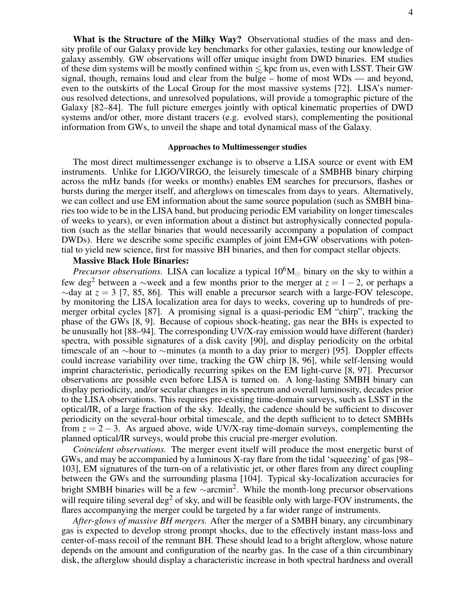What is the Structure of the Milky Way? Observational studies of the mass and density profile of our Galaxy provide key benchmarks for other galaxies, testing our knowledge of galaxy assembly. GW observations will offer unique insight from DWD binaries. EM studies of these dim systems will be mostly confined within  $\leq$  kpc from us, even with LSST. Their GW signal, though, remains loud and clear from the bulge – home of most WDs — and beyond, even to the outskirts of the Local Group for the most massive systems [72]. LISA's numerous resolved detections, and unresolved populations, will provide a tomographic picture of the Galaxy [82–84]. The full picture emerges jointly with optical kinematic properties of DWD systems and/or other, more distant tracers (e.g. evolved stars), complementing the positional information from GWs, to unveil the shape and total dynamical mass of the Galaxy.

### Approaches to Multimessenger studies

The most direct multimessenger exchange is to observe a LISA source or event with EM instruments. Unlike for LIGO/VIRGO, the leisurely timescale of a SMBHB binary chirping across the mHz bands (for weeks or months) enables EM searches for precursors, flashes or bursts during the merger itself, and afterglows on timescales from days to years. Alternatively, we can collect and use EM information about the same source population (such as SMBH binaries too wide to be in the LISA band, but producing periodic EM variability on longer timescales of weeks to years), or even information about a distinct but astrophysically connected population (such as the stellar binaries that would necessarily accompany a population of compact DWDs). Here we describe some specific examples of joint EM+GW observations with potential to yield new science, first for massive BH binaries, and then for compact stellar objects.

## Massive Black Hole Binaries:

*Precursor observations.* LISA can localize a typical  $10^6 M_{\odot}$  binary on the sky to within a few deg<sup>2</sup> between a ∼week and a few months prior to the merger at  $z = 1 - 2$ , or perhaps a  $\sim$ day at  $z = 3$  [7, 85, 86]. This will enable a precursor search with a large-FOV telescope, by monitoring the LISA localization area for days to weeks, covering up to hundreds of premerger orbital cycles [87]. A promising signal is a quasi-periodic EM "chirp", tracking the phase of the GWs [8, 9]. Because of copious shock-heating, gas near the BHs is expected to be unusually hot [88–94]. The corresponding UV/X-ray emission would have different (harder) spectra, with possible signatures of a disk cavity [90], and display periodicity on the orbital timescale of an ∼hour to ∼minutes (a month to a day prior to merger) [95]. Doppler effects could increase variability over time, tracking the GW chirp [8, 96], while self-lensing would imprint characteristic, periodically recurring spikes on the EM light-curve [8, 97]. Precursor observations are possible even before LISA is turned on. A long-lasting SMBH binary can display periodicity, and/or secular changes in its spectrum and overall luminosity, decades prior to the LISA observations. This requires pre-existing time-domain surveys, such as LSST in the optical/IR, of a large fraction of the sky. Ideally, the cadence should be sufficient to discover periodicity on the several-hour orbital timescale, and the depth sufficient to to detect SMBHs from  $z = 2 - 3$ . As argued above, wide UV/X-ray time-domain surveys, complementing the planned optical/IR surveys, would probe this crucial pre-merger evolution.

*Coincident observations.* The merger event itself will produce the most energetic burst of GWs, and may be accompanied by a luminous X-ray flare from the tidal 'squeezing' of gas [98– 103], EM signatures of the turn-on of a relativistic jet, or other flares from any direct coupling between the GWs and the surrounding plasma [104]. Typical sky-localization accuracies for bright SMBH binaries will be a few  $\sim$ arcmin<sup>2</sup>. While the month-long precursor observations will require tiling several deg<sup>2</sup> of sky, and will be feasible only with large-FOV instruments, the flares accompanying the merger could be targeted by a far wider range of instruments.

*After-glows of massive BH mergers.* After the merger of a SMBH binary, any circumbinary gas is expected to develop strong prompt shocks, due to the effectively instant mass-loss and center-of-mass recoil of the remnant BH. These should lead to a bright afterglow, whose nature depends on the amount and configuration of the nearby gas. In the case of a thin circumbinary disk, the afterglow should display a characteristic increase in both spectral hardness and overall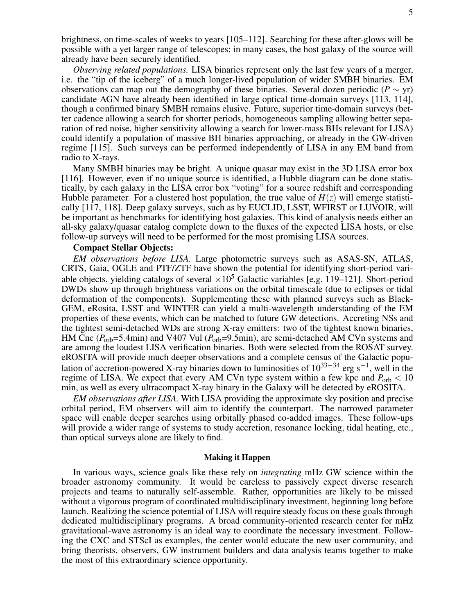brightness, on time-scales of weeks to years [105–112]. Searching for these after-glows will be possible with a yet larger range of telescopes; in many cases, the host galaxy of the source will already have been securely identified.

*Observing related populations.* LISA binaries represent only the last few years of a merger, i.e. the "tip of the iceberg" of a much longer-lived population of wider SMBH binaries. EM observations can map out the demography of these binaries. Several dozen periodic ( $P \sim yr$ ) candidate AGN have already been identified in large optical time-domain surveys [113, 114], though a confirmed binary SMBH remains elusive. Future, superior time-domain surveys (better cadence allowing a search for shorter periods, homogeneous sampling allowing better separation of red noise, higher sensitivity allowing a search for lower-mass BHs relevant for LISA) could identify a population of massive BH binaries approaching, or already in the GW-driven regime [115]. Such surveys can be performed independently of LISA in any EM band from radio to X-rays.

Many SMBH binaries may be bright. A unique quasar may exist in the 3D LISA error box [116]. However, even if no unique source is identified, a Hubble diagram can be done statistically, by each galaxy in the LISA error box "voting" for a source redshift and corresponding Hubble parameter. For a clustered host population, the true value of  $H(z)$  will emerge statistically [117, 118]. Deep galaxy surveys, such as by EUCLID, LSST, WFIRST or LUVOIR, will be important as benchmarks for identifying host galaxies. This kind of analysis needs either an all-sky galaxy/quasar catalog complete down to the fluxes of the expected LISA hosts, or else follow-up surveys will need to be performed for the most promising LISA sources.

### Compact Stellar Objects:

*EM observations before LISA.* Large photometric surveys such as ASAS-SN, ATLAS, CRTS, Gaia, OGLE and PTF/ZTF have shown the potential for identifying short-period variable objects, yielding catalogs of several  $\times 10^5$  Galactic variables [e.g. 119–121]. Short-period DWDs show up through brightness variations on the orbital timescale (due to eclipses or tidal deformation of the components). Supplementing these with planned surveys such as Black-GEM, eRosita, LSST and WINTER can yield a multi-wavelength understanding of the EM properties of these events, which can be matched to future GW detections. Accreting NSs and the tightest semi-detached WDs are strong X-ray emitters: two of the tightest known binaries, HM Cnc ( $P_{\text{orb}}$ =5.4min) and V407 Vul ( $P_{\text{orb}}$ =9.5min), are semi-detached AM CVn systems and are among the loudest LISA verification binaries. Both were selected from the ROSAT survey. eROSITA will provide much deeper observations and a complete census of the Galactic population of accretion-powered X-ray binaries down to luminosities of 10<sup>33–34</sup> erg s<sup>-1</sup>, well in the regime of LISA. We expect that every AM CVn type system within a few kpc and  $P_{\text{orb}} < 10$ min, as well as every ultracompact X-ray binary in the Galaxy will be detected by eROSITA.

*EM observations after LISA.* With LISA providing the approximate sky position and precise orbital period, EM observers will aim to identify the counterpart. The narrowed parameter space will enable deeper searches using orbitally phased co-added images. These follow-ups will provide a wider range of systems to study accretion, resonance locking, tidal heating, etc., than optical surveys alone are likely to find.

### Making it Happen

In various ways, science goals like these rely on *integrating* mHz GW science within the broader astronomy community. It would be careless to passively expect diverse research projects and teams to naturally self-assemble. Rather, opportunities are likely to be missed without a vigorous program of coordinated multidisciplinary investment, beginning long before launch. Realizing the science potential of LISA will require steady focus on these goals through dedicated multidisciplinary programs. A broad community-oriented research center for mHz gravitational-wave astronomy is an ideal way to coordinate the necessary investment. Following the CXC and STScI as examples, the center would educate the new user community, and bring theorists, observers, GW instrument builders and data analysis teams together to make the most of this extraordinary science opportunity.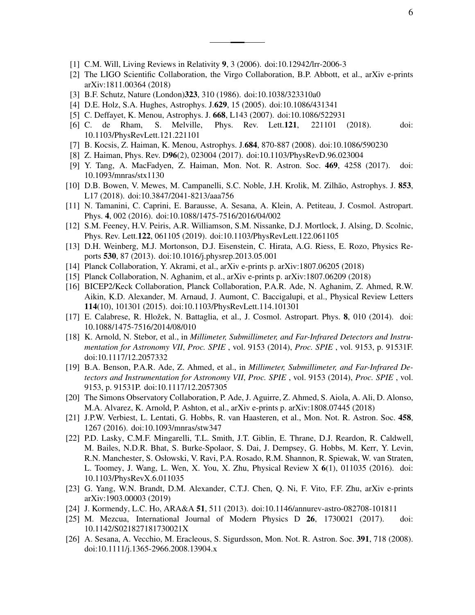- [1] C.M. Will, Living Reviews in Relativity 9, 3 (2006). doi:10.12942/lrr-2006-3
- [2] The LIGO Scientific Collaboration, the Virgo Collaboration, B.P. Abbott, et al., arXiv e-prints arXiv:1811.00364 (2018)
- [3] B.F. Schutz, Nature (London)323, 310 (1986). doi:10.1038/323310a0
- [4] D.E. Holz, S.A. Hughes, Astrophys. J.629, 15 (2005). doi:10.1086/431341
- [5] C. Deffayet, K. Menou, Astrophys. J. 668, L143 (2007). doi:10.1086/522931
- [6] C. de Rham, S. Melville, Phys. Rev. Lett.121, 221101 (2018). doi: 10.1103/PhysRevLett.121.221101
- [7] B. Kocsis, Z. Haiman, K. Menou, Astrophys. J.684, 870-887 (2008). doi:10.1086/590230
- [8] Z. Haiman, Phys. Rev. D96(2), 023004 (2017). doi:10.1103/PhysRevD.96.023004
- [9] Y. Tang, A. MacFadyen, Z. Haiman, Mon. Not. R. Astron. Soc. 469, 4258 (2017). doi: 10.1093/mnras/stx1130
- [10] D.B. Bowen, V. Mewes, M. Campanelli, S.C. Noble, J.H. Krolik, M. Zilhão, Astrophys. J. 853, L17 (2018). doi:10.3847/2041-8213/aaa756
- [11] N. Tamanini, C. Caprini, E. Barausse, A. Sesana, A. Klein, A. Petiteau, J. Cosmol. Astropart. Phys. 4, 002 (2016). doi:10.1088/1475-7516/2016/04/002
- [12] S.M. Feeney, H.V. Peiris, A.R. Williamson, S.M. Nissanke, D.J. Mortlock, J. Alsing, D. Scolnic, Phys. Rev. Lett.122, 061105 (2019). doi:10.1103/PhysRevLett.122.061105
- [13] D.H. Weinberg, M.J. Mortonson, D.J. Eisenstein, C. Hirata, A.G. Riess, E. Rozo, Physics Reports 530, 87 (2013). doi:10.1016/j.physrep.2013.05.001
- [14] Planck Collaboration, Y. Akrami, et al., arXiv e-prints p. arXiv:1807.06205 (2018)
- [15] Planck Collaboration, N. Aghanim, et al., arXiv e-prints p. arXiv:1807.06209 (2018)
- [16] BICEP2/Keck Collaboration, Planck Collaboration, P.A.R. Ade, N. Aghanim, Z. Ahmed, R.W. Aikin, K.D. Alexander, M. Arnaud, J. Aumont, C. Baccigalupi, et al., Physical Review Letters 114(10), 101301 (2015). doi:10.1103/PhysRevLett.114.101301
- [17] E. Calabrese, R. Hložek, N. Battaglia, et al., J. Cosmol. Astropart. Phys. 8, 010 (2014). doi: 10.1088/1475-7516/2014/08/010
- [18] K. Arnold, N. Stebor, et al., in *Millimeter, Submillimeter, and Far-Infrared Detectors and Instrumentation for Astronomy VII*, *Proc. SPIE* , vol. 9153 (2014), *Proc. SPIE* , vol. 9153, p. 91531F. doi:10.1117/12.2057332
- [19] B.A. Benson, P.A.R. Ade, Z. Ahmed, et al., in *Millimeter, Submillimeter, and Far-Infrared Detectors and Instrumentation for Astronomy VII*, *Proc. SPIE* , vol. 9153 (2014), *Proc. SPIE* , vol. 9153, p. 91531P. doi:10.1117/12.2057305
- [20] The Simons Observatory Collaboration, P. Ade, J. Aguirre, Z. Ahmed, S. Aiola, A. Ali, D. Alonso, M.A. Alvarez, K. Arnold, P. Ashton, et al., arXiv e-prints p. arXiv:1808.07445 (2018)
- [21] J.P.W. Verbiest, L. Lentati, G. Hobbs, R. van Haasteren, et al., Mon. Not. R. Astron. Soc. 458, 1267 (2016). doi:10.1093/mnras/stw347
- [22] P.D. Lasky, C.M.F. Mingarelli, T.L. Smith, J.T. Giblin, E. Thrane, D.J. Reardon, R. Caldwell, M. Bailes, N.D.R. Bhat, S. Burke-Spolaor, S. Dai, J. Dempsey, G. Hobbs, M. Kerr, Y. Levin, R.N. Manchester, S. Osłowski, V. Ravi, P.A. Rosado, R.M. Shannon, R. Spiewak, W. van Straten, L. Toomey, J. Wang, L. Wen, X. You, X. Zhu, Physical Review X 6(1), 011035 (2016). doi: 10.1103/PhysRevX.6.011035
- [23] G. Yang, W.N. Brandt, D.M. Alexander, C.T.J. Chen, Q. Ni, F. Vito, F.F. Zhu, arXiv e-prints arXiv:1903.00003 (2019)
- [24] J. Kormendy, L.C. Ho, ARA&A 51, 511 (2013). doi:10.1146/annurev-astro-082708-101811
- [25] M. Mezcua, International Journal of Modern Physics D 26, 1730021 (2017). doi: 10.1142/S021827181730021X
- [26] A. Sesana, A. Vecchio, M. Eracleous, S. Sigurdsson, Mon. Not. R. Astron. Soc. 391, 718 (2008). doi:10.1111/j.1365-2966.2008.13904.x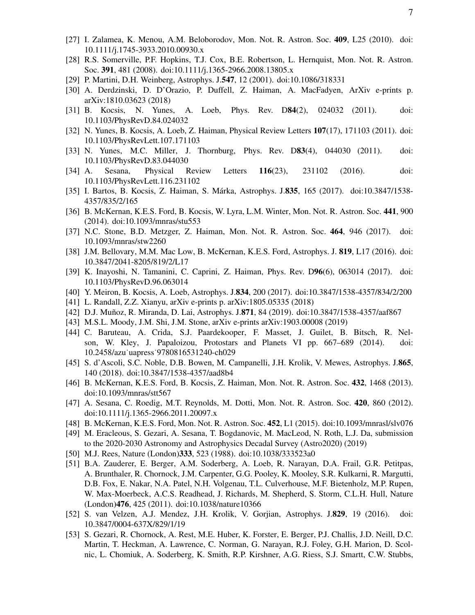- [27] I. Zalamea, K. Menou, A.M. Beloborodov, Mon. Not. R. Astron. Soc. 409, L25 (2010). doi: 10.1111/j.1745-3933.2010.00930.x
- [28] R.S. Somerville, P.F. Hopkins, T.J. Cox, B.E. Robertson, L. Hernquist, Mon. Not. R. Astron. Soc. 391, 481 (2008). doi:10.1111/j.1365-2966.2008.13805.x
- [29] P. Martini, D.H. Weinberg, Astrophys. J.547, 12 (2001). doi:10.1086/318331
- [30] A. Derdzinski, D. D'Orazio, P. Duffell, Z. Haiman, A. MacFadyen, ArXiv e-prints p. arXiv:1810.03623 (2018)
- [31] B. Kocsis, N. Yunes, A. Loeb, Phys. Rev. D84(2), 024032 (2011). doi: 10.1103/PhysRevD.84.024032
- [32] N. Yunes, B. Kocsis, A. Loeb, Z. Haiman, Physical Review Letters 107(17), 171103 (2011). doi: 10.1103/PhysRevLett.107.171103
- [33] N. Yunes, M.C. Miller, J. Thornburg, Phys. Rev. D83(4), 044030 (2011). doi: 10.1103/PhysRevD.83.044030
- [34] A. Sesana, Physical Review Letters 116(23), 231102 (2016). doi: 10.1103/PhysRevLett.116.231102
- [35] I. Bartos, B. Kocsis, Z. Haiman, S. Márka, Astrophys. J.835, 165 (2017). doi:10.3847/1538-4357/835/2/165
- [36] B. McKernan, K.E.S. Ford, B. Kocsis, W. Lyra, L.M. Winter, Mon. Not. R. Astron. Soc. 441, 900 (2014). doi:10.1093/mnras/stu553
- [37] N.C. Stone, B.D. Metzger, Z. Haiman, Mon. Not. R. Astron. Soc. 464, 946 (2017). doi: 10.1093/mnras/stw2260
- [38] J.M. Bellovary, M.M. Mac Low, B. McKernan, K.E.S. Ford, Astrophys. J. 819, L17 (2016). doi: 10.3847/2041-8205/819/2/L17
- [39] K. Inayoshi, N. Tamanini, C. Caprini, Z. Haiman, Phys. Rev. D96(6), 063014 (2017). doi: 10.1103/PhysRevD.96.063014
- [40] Y. Meiron, B. Kocsis, A. Loeb, Astrophys. J.834, 200 (2017). doi:10.3847/1538-4357/834/2/200
- [41] L. Randall, Z.Z. Xianyu, arXiv e-prints p. arXiv:1805.05335 (2018)
- [42] D.J. Muñoz, R. Miranda, D. Lai, Astrophys. J.871, 84 (2019). doi:10.3847/1538-4357/aaf867
- [43] M.S.L. Moody, J.M. Shi, J.M. Stone, arXiv e-prints arXiv:1903.00008 (2019)
- [44] C. Baruteau, A. Crida, S.J. Paardekooper, F. Masset, J. Guilet, B. Bitsch, R. Nelson, W. Kley, J. Papaloizou, Protostars and Planets VI pp. 667–689 (2014). doi: 10.2458/azu˙uapress˙9780816531240-ch029
- [45] S. d'Ascoli, S.C. Noble, D.B. Bowen, M. Campanelli, J.H. Krolik, V. Mewes, Astrophys. J.865, 140 (2018). doi:10.3847/1538-4357/aad8b4
- [46] B. McKernan, K.E.S. Ford, B. Kocsis, Z. Haiman, Mon. Not. R. Astron. Soc. 432, 1468 (2013). doi:10.1093/mnras/stt567
- [47] A. Sesana, C. Roedig, M.T. Reynolds, M. Dotti, Mon. Not. R. Astron. Soc. 420, 860 (2012). doi:10.1111/j.1365-2966.2011.20097.x
- [48] B. McKernan, K.E.S. Ford, Mon. Not. R. Astron. Soc. 452, L1 (2015). doi:10.1093/mnrasl/slv076
- [49] M. Eracleous, S. Gezari, A. Sesana, T. Bogdanovic, M. MacLeod, N. Roth, L.J. Da, submission to the 2020-2030 Astronomy and Astrophysics Decadal Survey (Astro2020) (2019)
- [50] M.J. Rees, Nature (London)333, 523 (1988). doi:10.1038/333523a0
- [51] B.A. Zauderer, E. Berger, A.M. Soderberg, A. Loeb, R. Narayan, D.A. Frail, G.R. Petitpas, A. Brunthaler, R. Chornock, J.M. Carpenter, G.G. Pooley, K. Mooley, S.R. Kulkarni, R. Margutti, D.B. Fox, E. Nakar, N.A. Patel, N.H. Volgenau, T.L. Culverhouse, M.F. Bietenholz, M.P. Rupen, W. Max-Moerbeck, A.C.S. Readhead, J. Richards, M. Shepherd, S. Storm, C.L.H. Hull, Nature (London)476, 425 (2011). doi:10.1038/nature10366
- [52] S. van Velzen, A.J. Mendez, J.H. Krolik, V. Gorjian, Astrophys. J.829, 19 (2016). doi: 10.3847/0004-637X/829/1/19
- [53] S. Gezari, R. Chornock, A. Rest, M.E. Huber, K. Forster, E. Berger, P.J. Challis, J.D. Neill, D.C. Martin, T. Heckman, A. Lawrence, C. Norman, G. Narayan, R.J. Foley, G.H. Marion, D. Scolnic, L. Chomiuk, A. Soderberg, K. Smith, R.P. Kirshner, A.G. Riess, S.J. Smartt, C.W. Stubbs,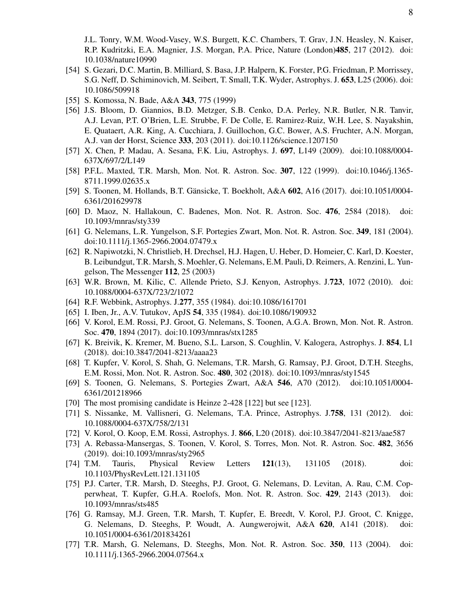J.L. Tonry, W.M. Wood-Vasey, W.S. Burgett, K.C. Chambers, T. Grav, J.N. Heasley, N. Kaiser, R.P. Kudritzki, E.A. Magnier, J.S. Morgan, P.A. Price, Nature (London)485, 217 (2012). doi: 10.1038/nature10990

- [54] S. Gezari, D.C. Martin, B. Milliard, S. Basa, J.P. Halpern, K. Forster, P.G. Friedman, P. Morrissey, S.G. Neff, D. Schiminovich, M. Seibert, T. Small, T.K. Wyder, Astrophys. J. 653, L25 (2006). doi: 10.1086/509918
- [55] S. Komossa, N. Bade, A&A 343, 775 (1999)
- [56] J.S. Bloom, D. Giannios, B.D. Metzger, S.B. Cenko, D.A. Perley, N.R. Butler, N.R. Tanvir, A.J. Levan, P.T. O'Brien, L.E. Strubbe, F. De Colle, E. Ramirez-Ruiz, W.H. Lee, S. Nayakshin, E. Quataert, A.R. King, A. Cucchiara, J. Guillochon, G.C. Bower, A.S. Fruchter, A.N. Morgan, A.J. van der Horst, Science 333, 203 (2011). doi:10.1126/science.1207150
- [57] X. Chen, P. Madau, A. Sesana, F.K. Liu, Astrophys. J. 697, L149 (2009). doi:10.1088/0004- 637X/697/2/L149
- [58] P.F.L. Maxted, T.R. Marsh, Mon. Not. R. Astron. Soc. 307, 122 (1999). doi:10.1046/j.1365- 8711.1999.02635.x
- [59] S. Toonen, M. Hollands, B.T. Gänsicke, T. Boekholt, A&A 602, A16 (2017). doi:10.1051/0004-6361/201629978
- [60] D. Maoz, N. Hallakoun, C. Badenes, Mon. Not. R. Astron. Soc. 476, 2584 (2018). doi: 10.1093/mnras/sty339
- [61] G. Nelemans, L.R. Yungelson, S.F. Portegies Zwart, Mon. Not. R. Astron. Soc. 349, 181 (2004). doi:10.1111/j.1365-2966.2004.07479.x
- [62] R. Napiwotzki, N. Christlieb, H. Drechsel, H.J. Hagen, U. Heber, D. Homeier, C. Karl, D. Koester, B. Leibundgut, T.R. Marsh, S. Moehler, G. Nelemans, E.M. Pauli, D. Reimers, A. Renzini, L. Yungelson, The Messenger 112, 25 (2003)
- [63] W.R. Brown, M. Kilic, C. Allende Prieto, S.J. Kenyon, Astrophys. J.723, 1072 (2010). doi: 10.1088/0004-637X/723/2/1072
- [64] R.F. Webbink, Astrophys. J.277, 355 (1984). doi:10.1086/161701
- [65] I. Iben, Jr., A.V. Tutukov, ApJS 54, 335 (1984). doi:10.1086/190932
- [66] V. Korol, E.M. Rossi, P.J. Groot, G. Nelemans, S. Toonen, A.G.A. Brown, Mon. Not. R. Astron. Soc. 470, 1894 (2017). doi:10.1093/mnras/stx1285
- [67] K. Breivik, K. Kremer, M. Bueno, S.L. Larson, S. Coughlin, V. Kalogera, Astrophys. J. 854, L1 (2018). doi:10.3847/2041-8213/aaaa23
- [68] T. Kupfer, V. Korol, S. Shah, G. Nelemans, T.R. Marsh, G. Ramsay, P.J. Groot, D.T.H. Steeghs, E.M. Rossi, Mon. Not. R. Astron. Soc. 480, 302 (2018). doi:10.1093/mnras/sty1545
- [69] S. Toonen, G. Nelemans, S. Portegies Zwart, A&A 546, A70 (2012). doi:10.1051/0004- 6361/201218966
- [70] The most promising candidate is Heinze 2-428 [122] but see [123].
- [71] S. Nissanke, M. Vallisneri, G. Nelemans, T.A. Prince, Astrophys. J.758, 131 (2012). doi: 10.1088/0004-637X/758/2/131
- [72] V. Korol, O. Koop, E.M. Rossi, Astrophys. J. 866, L20 (2018). doi:10.3847/2041-8213/aae587
- [73] A. Rebassa-Mansergas, S. Toonen, V. Korol, S. Torres, Mon. Not. R. Astron. Soc. 482, 3656 (2019). doi:10.1093/mnras/sty2965
- [74] T.M. Tauris, Physical Review Letters 121(13), 131105 (2018). doi: 10.1103/PhysRevLett.121.131105
- [75] P.J. Carter, T.R. Marsh, D. Steeghs, P.J. Groot, G. Nelemans, D. Levitan, A. Rau, C.M. Copperwheat, T. Kupfer, G.H.A. Roelofs, Mon. Not. R. Astron. Soc. 429, 2143 (2013). doi: 10.1093/mnras/sts485
- [76] G. Ramsay, M.J. Green, T.R. Marsh, T. Kupfer, E. Breedt, V. Korol, P.J. Groot, C. Knigge, G. Nelemans, D. Steeghs, P. Woudt, A. Aungwerojwit, A&A 620, A141 (2018). doi: 10.1051/0004-6361/201834261
- [77] T.R. Marsh, G. Nelemans, D. Steeghs, Mon. Not. R. Astron. Soc. 350, 113 (2004). doi: 10.1111/j.1365-2966.2004.07564.x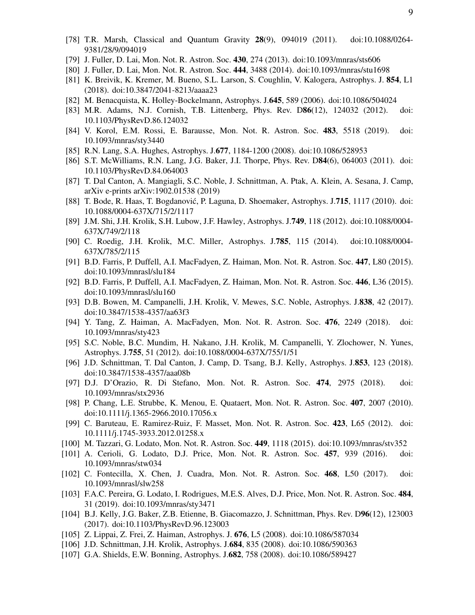- [78] T.R. Marsh, Classical and Quantum Gravity 28(9), 094019 (2011). doi:10.1088/0264- 9381/28/9/094019
- [79] J. Fuller, D. Lai, Mon. Not. R. Astron. Soc. 430, 274 (2013). doi:10.1093/mnras/sts606
- [80] J. Fuller, D. Lai, Mon. Not. R. Astron. Soc. 444, 3488 (2014). doi:10.1093/mnras/stu1698
- [81] K. Breivik, K. Kremer, M. Bueno, S.L. Larson, S. Coughlin, V. Kalogera, Astrophys. J. 854, L1 (2018). doi:10.3847/2041-8213/aaaa23
- [82] M. Benacquista, K. Holley-Bockelmann, Astrophys. J.645, 589 (2006). doi:10.1086/504024
- [83] M.R. Adams, N.J. Cornish, T.B. Littenberg, Phys. Rev. D86(12), 124032 (2012). doi: 10.1103/PhysRevD.86.124032
- [84] V. Korol, E.M. Rossi, E. Barausse, Mon. Not. R. Astron. Soc. 483, 5518 (2019). doi: 10.1093/mnras/sty3440
- [85] R.N. Lang, S.A. Hughes, Astrophys. J.677, 1184-1200 (2008). doi:10.1086/528953
- [86] S.T. McWilliams, R.N. Lang, J.G. Baker, J.I. Thorpe, Phys. Rev. D84(6), 064003 (2011). doi: 10.1103/PhysRevD.84.064003
- [87] T. Dal Canton, A. Mangiagli, S.C. Noble, J. Schnittman, A. Ptak, A. Klein, A. Sesana, J. Camp, arXiv e-prints arXiv:1902.01538 (2019)
- [88] T. Bode, R. Haas, T. Bogdanović, P. Laguna, D. Shoemaker, Astrophys. J.715, 1117 (2010). doi: 10.1088/0004-637X/715/2/1117
- [89] J.M. Shi, J.H. Krolik, S.H. Lubow, J.F. Hawley, Astrophys. J.749, 118 (2012). doi:10.1088/0004- 637X/749/2/118
- [90] C. Roedig, J.H. Krolik, M.C. Miller, Astrophys. J.785, 115 (2014). doi:10.1088/0004- 637X/785/2/115
- [91] B.D. Farris, P. Duffell, A.I. MacFadyen, Z. Haiman, Mon. Not. R. Astron. Soc. 447, L80 (2015). doi:10.1093/mnrasl/slu184
- [92] B.D. Farris, P. Duffell, A.I. MacFadyen, Z. Haiman, Mon. Not. R. Astron. Soc. 446, L36 (2015). doi:10.1093/mnrasl/slu160
- [93] D.B. Bowen, M. Campanelli, J.H. Krolik, V. Mewes, S.C. Noble, Astrophys. J.838, 42 (2017). doi:10.3847/1538-4357/aa63f3
- [94] Y. Tang, Z. Haiman, A. MacFadyen, Mon. Not. R. Astron. Soc. 476, 2249 (2018). doi: 10.1093/mnras/sty423
- [95] S.C. Noble, B.C. Mundim, H. Nakano, J.H. Krolik, M. Campanelli, Y. Zlochower, N. Yunes, Astrophys. J.755, 51 (2012). doi:10.1088/0004-637X/755/1/51
- [96] J.D. Schnittman, T. Dal Canton, J. Camp, D. Tsang, B.J. Kelly, Astrophys. J.853, 123 (2018). doi:10.3847/1538-4357/aaa08b
- [97] D.J. D'Orazio, R. Di Stefano, Mon. Not. R. Astron. Soc. 474, 2975 (2018). doi: 10.1093/mnras/stx2936
- [98] P. Chang, L.E. Strubbe, K. Menou, E. Quataert, Mon. Not. R. Astron. Soc. 407, 2007 (2010). doi:10.1111/j.1365-2966.2010.17056.x
- [99] C. Baruteau, E. Ramirez-Ruiz, F. Masset, Mon. Not. R. Astron. Soc. 423, L65 (2012). doi: 10.1111/j.1745-3933.2012.01258.x
- [100] M. Tazzari, G. Lodato, Mon. Not. R. Astron. Soc. 449, 1118 (2015). doi:10.1093/mnras/stv352
- [101] A. Cerioli, G. Lodato, D.J. Price, Mon. Not. R. Astron. Soc. 457, 939 (2016). doi: 10.1093/mnras/stw034
- [102] C. Fontecilla, X. Chen, J. Cuadra, Mon. Not. R. Astron. Soc. 468, L50 (2017). doi: 10.1093/mnrasl/slw258
- [103] F.A.C. Pereira, G. Lodato, I. Rodrigues, M.E.S. Alves, D.J. Price, Mon. Not. R. Astron. Soc. 484, 31 (2019). doi:10.1093/mnras/sty3471
- [104] B.J. Kelly, J.G. Baker, Z.B. Etienne, B. Giacomazzo, J. Schnittman, Phys. Rev. D96(12), 123003 (2017). doi:10.1103/PhysRevD.96.123003
- [105] Z. Lippai, Z. Frei, Z. Haiman, Astrophys. J. 676, L5 (2008). doi:10.1086/587034
- [106] J.D. Schnittman, J.H. Krolik, Astrophys. J.684, 835 (2008). doi:10.1086/590363
- [107] G.A. Shields, E.W. Bonning, Astrophys. J.682, 758 (2008). doi:10.1086/589427